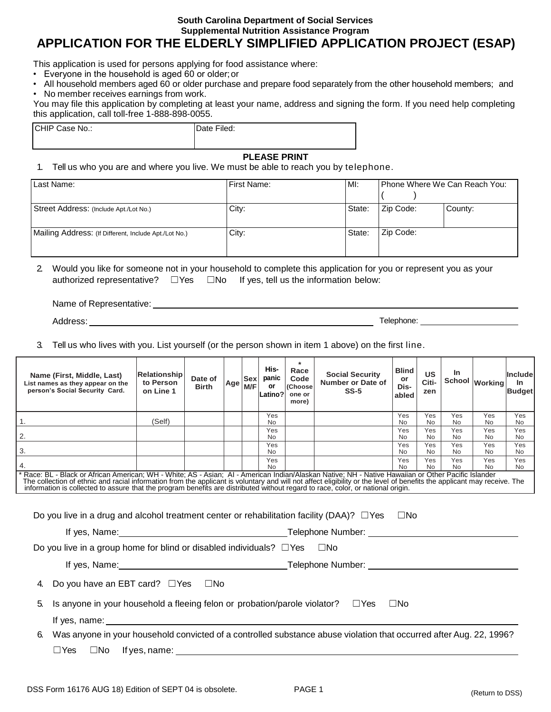#### **South Carolina Department of Social Services Supplemental Nutrition Assistance Program**

**APPLICATION FOR THE ELDERLY SIMPLIFIED APPLICATION PROJECT (ESAP)** 

This application is used for persons applying for food assistance where:

- Everyone in the household is aged 60 or older;or
- All household members aged 60 or older purchase and prepare food separately from the other household members; and
- No member receives earnings from work.

You may file this application by completing at least your name, address and signing the form. If you need help completing this application, call toll-free 1-888-898-0055.

| CHIP Case No.: | Date Filed: |  |
|----------------|-------------|--|
|                |             |  |

#### **PLEASE PRINT**

1. Tell us who you are and where you live. We must be able to reach you by telephone.

| Last Name:                                            | <b>First Name:</b> | MI:    |           | Phone Where We Can Reach You: |
|-------------------------------------------------------|--------------------|--------|-----------|-------------------------------|
| Street Address: (Include Apt./Lot No.)                | City:              | State: | Zip Code: | County:                       |
| Mailing Address: (If Different, Include Apt./Lot No.) | City:              | State: | Zip Code: |                               |

2. Would you like for someone not in your household to complete this application for you or represent you as your authorized representative?  $\square$  Yes  $\square$  No If yes, tell us the information below:

Name of Representative: University of American American Service of American American Service of American Service of American American Service of American Service of American Service of American Service of American Service

Address: Telephone: Laterature of the contract of the contract of the contract of the contract of the contract of the contract of the contract of the contract of the contract of the contract of the contract of the contract

3. Tell us who lives with you. List yourself (or the person shown in item 1 above) on the first line.

| Name (First, Middle, Last)<br>List names as they appear on the<br>person's Social Security Card.                                                                                                                                                                                                                                                                                    | Relationship<br>to Person<br>on Line 1 | Date of<br><b>Birth</b> | Age | <b>Sex</b><br>M/F | His-<br>panic<br>or<br> Latino? | $\star$<br>Race<br>Code<br>(Choose<br>one or<br>more) | <b>Social Security</b><br>Number or Date of<br>$SS-5$ | <b>Blind</b><br>or<br>Dis-<br>abled | <b>US</b><br>Citi-<br>zen | In               | School Working   | <b>Include</b><br>In.<br><b>Budget</b> |
|-------------------------------------------------------------------------------------------------------------------------------------------------------------------------------------------------------------------------------------------------------------------------------------------------------------------------------------------------------------------------------------|----------------------------------------|-------------------------|-----|-------------------|---------------------------------|-------------------------------------------------------|-------------------------------------------------------|-------------------------------------|---------------------------|------------------|------------------|----------------------------------------|
| 1.                                                                                                                                                                                                                                                                                                                                                                                  | (Self)                                 |                         |     |                   | Yes<br>No.                      |                                                       |                                                       | Yes<br><b>No</b>                    | Yes<br>No.                | Yes<br><b>No</b> | Yes<br>No.       | Yes<br>No.                             |
| 2.                                                                                                                                                                                                                                                                                                                                                                                  |                                        |                         |     |                   | Yes<br>No.                      |                                                       |                                                       | Yes<br><b>No</b>                    | Yes<br>No.                | Yes<br><b>No</b> | Yes<br>No        | Yes<br><b>No</b>                       |
| 3.                                                                                                                                                                                                                                                                                                                                                                                  |                                        |                         |     |                   | Yes<br>No.                      |                                                       |                                                       | Yes<br><b>No</b>                    | Yes<br>No.                | Yes<br><b>No</b> | Yes<br><b>No</b> | Yes<br>No.                             |
| 4.                                                                                                                                                                                                                                                                                                                                                                                  |                                        |                         |     |                   | Yes<br>No.                      |                                                       |                                                       | Yes<br>No.                          | Yes<br>No.                | Yes<br><b>No</b> | Yes<br>No        | Yes<br>No                              |
| Race: BL - Black or African American; WH - White; AS - Asian; AI - American Indian/Alaskan Native; NH - Native Hawaiian or Other Pacific Islander<br>The collection of ethnic and racial information from the applicant is voluntary and will not affect eligibility or the level of benefits the applicant may receive. The information is collected to assure that the program be |                                        |                         |     |                   |                                 |                                                       |                                                       |                                     |                           |                  |                  |                                        |
| $\square$ No<br>Do you live in a drug and alcohol treatment center or rehabilitation facility (DAA)? $\square$ Yes<br>If yes, Name: 1990 Manual Library Telephone Number: 2008. Name: 2008. Name: 2008. Name: 2008. Name: 2008. Name                                                                                                                                                |                                        |                         |     |                   |                                 |                                                       |                                                       |                                     |                           |                  |                  |                                        |
| Do you live in a group home for blind or disabled individuals? $\square$ Yes $\square$ No                                                                                                                                                                                                                                                                                           |                                        |                         |     |                   |                                 |                                                       |                                                       |                                     |                           |                  |                  |                                        |
|                                                                                                                                                                                                                                                                                                                                                                                     |                                        |                         |     |                   |                                 |                                                       |                                                       |                                     |                           |                  |                  |                                        |
| Do you have an EBT card? □Yes □No<br>4.                                                                                                                                                                                                                                                                                                                                             |                                        |                         |     |                   |                                 |                                                       |                                                       |                                     |                           |                  |                  |                                        |
| Is anyone in your household a fleeing felon or probation/parole violator? $\square$ Yes<br>5.<br>$\square$ No                                                                                                                                                                                                                                                                       |                                        |                         |     |                   |                                 |                                                       |                                                       |                                     |                           |                  |                  |                                        |
| If yes, name: the contract of the contract of the contract of the contract of the contract of the contract of the contract of the contract of the contract of the contract of the contract of the contract of the contract of                                                                                                                                                       |                                        |                         |     |                   |                                 |                                                       |                                                       |                                     |                           |                  |                  |                                        |
| Was anyone in your household convicted of a controlled substance abuse violation that occurred after Aug. 22, 1996?<br>6.                                                                                                                                                                                                                                                           |                                        |                         |     |                   |                                 |                                                       |                                                       |                                     |                           |                  |                  |                                        |
| $\Box$ Yes<br>$\square$ No If yes, name:                                                                                                                                                                                                                                                                                                                                            |                                        |                         |     |                   |                                 |                                                       |                                                       |                                     |                           |                  |                  |                                        |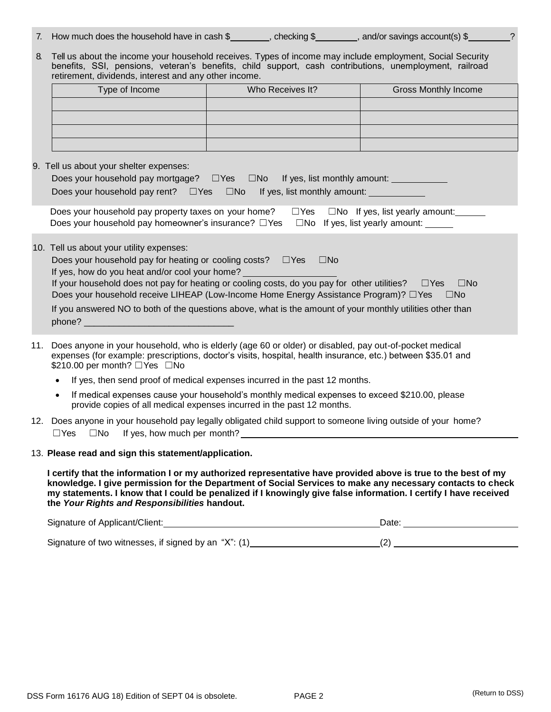| 7. How much does the household have in cash \$<br>, and/or savings account(s) \$<br>checking \$ |  |
|-------------------------------------------------------------------------------------------------|--|
|-------------------------------------------------------------------------------------------------|--|

|                                                       |  |  |  |  |  |  |  | 8. Tell us about the income your household receives. Types of income may include employment, Social Security |  |
|-------------------------------------------------------|--|--|--|--|--|--|--|--------------------------------------------------------------------------------------------------------------|--|
|                                                       |  |  |  |  |  |  |  | benefits, SSI, pensions, veteran's benefits, child support, cash contributions, unemployment, railroad       |  |
| retirement, dividends, interest and any other income. |  |  |  |  |  |  |  |                                                                                                              |  |

| Type of Income | Who Receives It? | <b>Gross Monthly Income</b> |
|----------------|------------------|-----------------------------|
|                |                  |                             |
|                |                  |                             |
|                |                  |                             |
|                |                  |                             |

#### 9. Tell us about your shelter expenses:

| Does your household pay mortgage? $\square$ Yes $\square$ No If yes, list monthly amount:                |
|----------------------------------------------------------------------------------------------------------|
| Does your household pay rent? $\square$ Yes $\square$ No If yes, list monthly amount:                    |
| Does your household pay property taxes on your home?<br>$\Box$ Yes $\Box$ No If yes, list yearly amount: |
| Does your household pay homeowner's insurance? $\Box$ Yes $\Box$ No If yes, list yearly amount:          |
|                                                                                                          |

#### 10. Tell us about your utility expenses:

| Does your household pay for heating or cooling costs? $\square$ Yes $\square$ No |  |  |
|----------------------------------------------------------------------------------|--|--|
|----------------------------------------------------------------------------------|--|--|

If yes, how do you heat and/or cool your home?

If your household does not pay for heating or cooling costs, do you pay for other utilities?  $□Yes □No$ Does your household receive LIHEAP (Low-Income Home Energy Assistance Program)? □ Yes □ No

If you answered NO to both of the questions above, what is the amount of your monthly utilities other than phone?

- 11. Does anyone in your household, who is elderly (age 60 or older) or disabled, pay out-of-pocket medical expenses (for example: prescriptions, doctor's visits, hospital, health insurance, etc.) between \$35.01 and \$210.00 per month? □Yes □No
	- If yes, then send proof of medical expenses incurred in the past 12 months.
	- If medical expenses cause your household's monthly medical expenses to exceed \$210.00, please provide copies of all medical expenses incurred in the past 12 months.
- 12. Does anyone in your household pay legally obligated child support to someone living outside of your home?  $\Box$ Yes  $\Box$ No If yes, how much per month?
- 13. **Please read and sign this statement/application.**

**I certify that the information I or my authorized representative have provided above is true to the best of my knowledge. I give permission for the Department of Social Services to make any necessary contacts to check my statements. I know that I could be penalized if I knowingly give false information. I certify I have received the** *Your Rights and Responsibilities* **handout.**

| Signature of Applicant/Client: | Date |  |
|--------------------------------|------|--|
|                                |      |  |

Signature of two witnesses, if signed by an "X": (1) [20] (2) (2)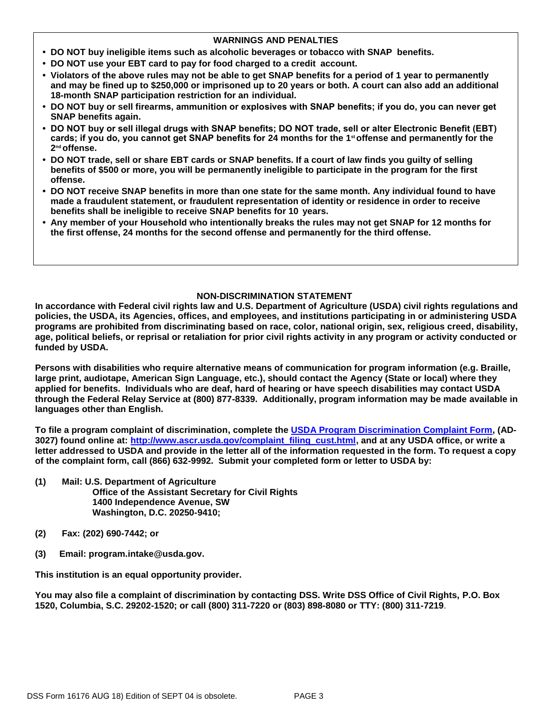#### **WARNINGS AND PENALTIES**

- **• DO NOT buy ineligible items such as alcoholic beverages or tobacco with SNAP benefits.**
- **• DO NOT use your EBT card to pay for food charged to a credit account.**
- **• Violators of the above rules may not be able to get SNAP benefits for a period of 1 year to permanently and may be fined up to \$250,000 or imprisoned up to 20 years or both. A court can also add an additional 18-month SNAP participation restriction for an individual.**
- **• DO NOT buy or sell firearms, ammunition or explosives with SNAP benefits; if you do, you can never get SNAP benefits again.**
- **• DO NOT buy or sell illegal drugs with SNAP benefits; DO NOT trade, sell or alter Electronic Benefit (EBT) cards; if you do, you cannot get SNAP benefits for 24 months for the 1st offense and permanently for the 2 nd offense.**
- **• DO NOT trade, sell or share EBT cards or SNAP benefits. If a court of law finds you guilty of selling benefits of \$500 or more, you will be permanently ineligible to participate in the program for the first offense.**
- **• DO NOT receive SNAP benefits in more than one state for the same month. Any individual found to have made a fraudulent statement, or fraudulent representation of identity or residence in order to receive benefits shall be ineligible to receive SNAP benefits for 10 years.**
- **• Any member of your Household who intentionally breaks the rules may not get SNAP for 12 months for the first offense, 24 months for the second offense and permanently for the third offense.**

#### **NON-DISCRIMINATION STATEMENT**

**In accordance with Federal civil rights law and U.S. Department of Agriculture (USDA) civil rights regulations and policies, the USDA, its Agencies, offices, and employees, and institutions participating in or administering USDA programs are prohibited from discriminating based on race, color, national origin, sex, religious creed, disability, age, political beliefs, or reprisal or retaliation for prior civil rights activity in any program or activity conducted or funded by USDA.** 

**Persons with disabilities who require alternative means of communication for program information (e.g. Braille, large print, audiotape, American Sign Language, etc.), should contact the Agency (State or local) where they applied for benefits. Individuals who are deaf, hard of hearing or have speech disabilities may contact USDA through the Federal Relay Service at (800) 877-8339. Additionally, program information may be made available in languages other than English.** 

**To file a program complaint of discrimination, complete the [USDA Program Discrimination Complaint Form,](http://www.ocio.usda.gov/sites/default/files/docs/2012/Complain_combined_6_8_12.pdf) (AD-3027) found online at: [http://www.ascr.usda.gov/complaint\\_filing\\_cust.html,](http://www.ascr.usda.gov/complaint_filing_cust.html) and at any USDA office, or write a letter addressed to USDA and provide in the letter all of the information requested in the form. To request a copy of the complaint form, call (866) 632-9992. Submit your completed form or letter to USDA by:** 

- **(1) Mail: U.S. Department of Agriculture Office of the Assistant Secretary for Civil Rights 1400 Independence Avenue, SW Washington, D.C. 20250-9410;**
- **(2) Fax: (202) 690-7442; or**
- **(3) Email: program.intake@usda.gov.**

**This institution is an equal opportunity provider.** 

**You may also file a complaint of discrimination by contacting DSS. Write DSS Office of Civil Rights, P.O. Box 1520, Columbia, S.C. 29202-1520; or call (800) 311-7220 or (803) 898-8080 or TTY: (800) 311-7219**.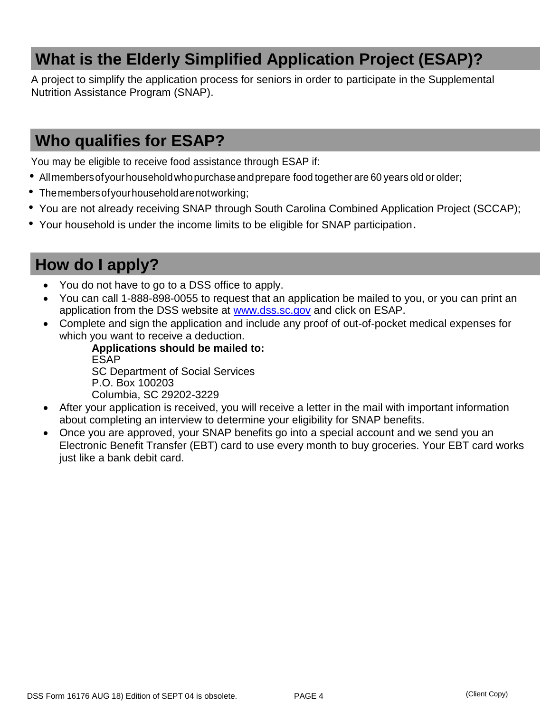## **What is the Elderly Simplified Application Project (ESAP)?**

A project to simplify the application process for seniors in order to participate in the Supplemental Nutrition Assistance Program (SNAP).

## **Who qualifies for ESAP?**

You may be eligible to receive food assistance through ESAP if:

- All members of your household who purchase and prepare food together are 60 years old or older;
- The members of your household are not working;
- You are not already receiving SNAP through South Carolina Combined Application Project (SCCAP);
- Your household is under the income limits to be eligible for SNAP participation.

# **How do I apply?**

- You do not have to go to a DSS office to apply.
- You can call 1-888-898-0055 to request that an application be mailed to you, or you can print an application from the DSS website at [www.dss.sc.gov](http://www.dss.sc.gov/) and click on ESAP.
- Complete and sign the application and include any proof of out-of-pocket medical expenses for which you want to receive a deduction.

**Applications should be mailed to:**  ESAP SC Department of Social Services P.O. Box 100203 Columbia, SC 29202-3229

- After your application is received, you will receive a letter in the mail with important information about completing an interview to determine your eligibility for SNAP benefits.
- Once you are approved, your SNAP benefits go into a special account and we send you an Electronic Benefit Transfer (EBT) card to use every month to buy groceries. Your EBT card works just like a bank debit card.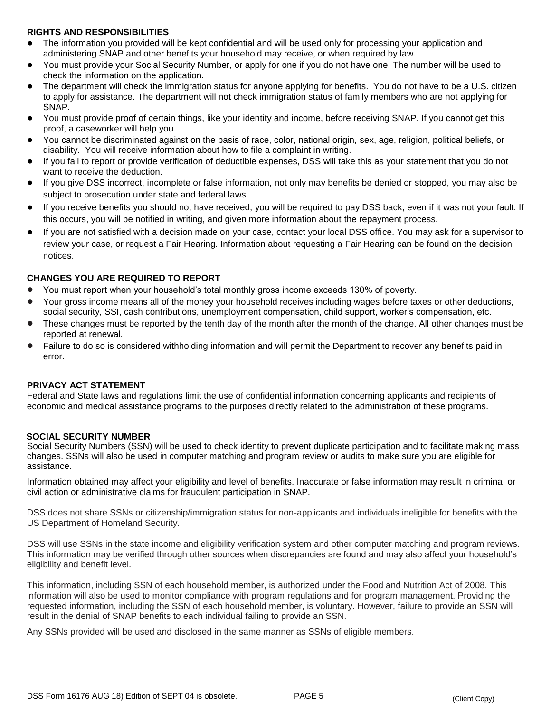#### **RIGHTS AND RESPONSIBILITIES**

- The information you provided will be kept confidential and will be used only for processing your application and administering SNAP and other benefits your household may receive, or when required by law.
- You must provide your Social Security Number, or apply for one if you do not have one. The number will be used to check the information on the application.
- The department will check the immigration status for anyone applying for benefits. You do not have to be a U.S. citizen to apply for assistance. The department will not check immigration status of family members who are not applying for SNAP.
- You must provide proof of certain things, like your identity and income, before receiving SNAP. If you cannot get this proof, a caseworker will help you.
- You cannot be discriminated against on the basis of race, color, national origin, sex, age, religion, political beliefs, or disability. You will receive information about how to file a complaint in writing.
- If you fail to report or provide verification of deductible expenses, DSS will take this as your statement that you do not want to receive the deduction.
- If you give DSS incorrect, incomplete or false information, not only may benefits be denied or stopped, you may also be subject to prosecution under state and federal laws.
- If you receive benefits you should not have received, you will be required to pay DSS back, even if it was not your fault. If this occurs, you will be notified in writing, and given more information about the repayment process.
- If you are not satisfied with a decision made on your case, contact your local DSS office. You may ask for a supervisor to review your case, or request a Fair Hearing. Information about requesting a Fair Hearing can be found on the decision notices.

#### **CHANGES YOU ARE REQUIRED TO REPORT**

- **•** You must report when your household's total monthly gross income exceeds 130% of poverty.
- **•** Your gross income means all of the money your household receives including wages before taxes or other deductions, social security, SSI, cash contributions, unemployment compensation, child support, worker's compensation, etc.
- **•** These changes must be reported by the tenth day of the month after the month of the change. All other changes must be reported at renewal.
- **•** Failure to do so is considered withholding information and will permit the Department to recover any benefits paid in error.

#### **PRIVACY ACT STATEMENT**

Federal and State laws and regulations limit the use of confidential information concerning applicants and recipients of economic and medical assistance programs to the purposes directly related to the administration of these programs.

#### **SOCIAL SECURITY NUMBER**

Social Security Numbers (SSN) will be used to check identity to prevent duplicate participation and to facilitate making mass changes. SSNs will also be used in computer matching and program review or audits to make sure you are eligible for assistance.

Information obtained may affect your eligibility and level of benefits. Inaccurate or false information may result in criminal or civil action or administrative claims for fraudulent participation in SNAP.

DSS does not share SSNs or citizenship/immigration status for non-applicants and individuals ineligible for benefits with the US Department of Homeland Security.

DSS will use SSNs in the state income and eligibility verification system and other computer matching and program reviews. This information may be verified through other sources when discrepancies are found and may also affect your household's eligibility and benefit level.

This information, including SSN of each household member, is authorized under the Food and Nutrition Act of 2008. This information will also be used to monitor compliance with program regulations and for program management. Providing the requested information, including the SSN of each household member, is voluntary. However, failure to provide an SSN will result in the denial of SNAP benefits to each individual failing to provide an SSN.

Any SSNs provided will be used and disclosed in the same manner as SSNs of eligible members.